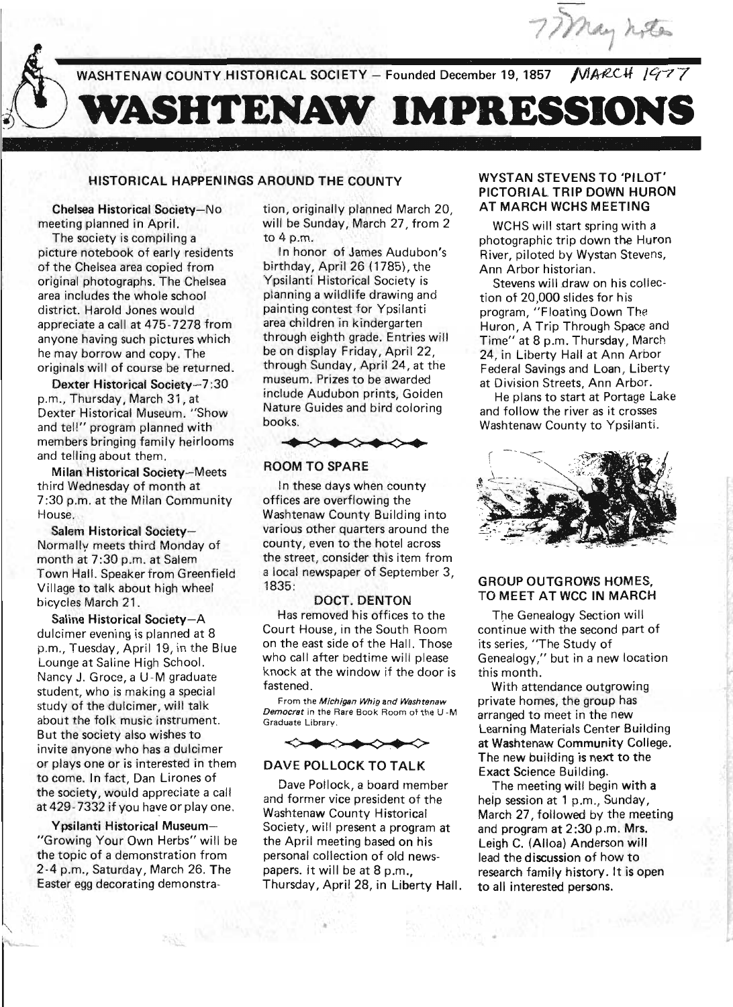

WASHTENAW COUNTY HISTORICAL SOCIETY - Founded December 19, 1857

# **WASHTENAW IMPRESSIONS**

# HISTORICAL HAPPENINGS AROUND THE COUNTY

Chelsea Historical Society-No meeting planned in April.

The society is compiling a picture notebook of early residents of the Chelsea area copied from original photographs. The Chelsea area includes the whole school district. Harold Jones would . appreciate a call at 475-7278 from anyone having such pictures which he may borrow and copy. The originals will of course be returned .

Dexter Historical Society-7:30 p.m., Thursday, March 31, at Dexter Historical Museum. "Show and tell" program planned with members bringing family heirlooms and telling about them.

Milan Historical Society-Meets third Wednesday of month at 7:30 p.m. at the Milan Community House.

Salem Historical Society-Normallv meets third Monday of month at 7:30 p.m. at Salem Town Hall. Speaker from Greenfield Village to talk about high wheel bicycles March 21.

Saline Historical Society-A dulcimer evening is planned at 8 p.m., Tuesday, April 19, in the Blue Lounge at Saline High School. Nancy J. Groce, a U-M graduate student, who is making a special study of the dulcimer, will talk about the folk music instrument. But the society also wishes to invite anyone who has a dulcimer or plays one or is interested in them to come. In fact, Dan Lirones of the society, would appreciate a call at 429-7332 if you have or play one.

Ypsilanti Historical Museum- "Growing Your Own Herbs" will be the topic of a demonstration from 2 -4 p.m., Saturday, March 26. The Easter egg decorating demonstration, originally planned March 20, will be Sunday, March 27, from 2 to 4 p.m.

In honor of James Audubon's birthday, April 26 (1785), the Ypsilanti Historical Society is planning a wildlife drawing and painting contest for Ypsilanti area children in kindergarten through eighth grade. Entries will be on display Friday, April 22, through Sunday, April 24, at the museum. Prizes to be awarded include Audubon prints, Goiden Nature Guides and bird coloring books . ough eighth grade. Entries will<br>
on display Friday, April 22,<br>
ough Sunday, April 24, at the<br>
seum. Prizes to be awarded<br>
ude Audubon prints, Goiden<br>
use Audubon prints, Goiden<br>
use and bird coloring<br>
om TO SPARE<br>
All the



# ROOM TO SPARE

In these days when county offices are overflowing the Washtenaw County Building into various other quarters around the county, even to the hotel across the street, consider this item from a local newspaper of September 3, 1835:

#### DOCT. DENTON

Has removed his offices to the Court House, in the South Room on the east side of the Hall. Those who call after bedtime will please knock at the window if the door is fastened. the east side of the Hall. Those its series, "The State of the Hall. Those its series, "The State of the Hall. Those its series, "The State of the Hall. Those its series, "The State of the Hall. Those its series, "The Stat

From the Michigan Whig and Washtenaw Democrat in the Rare Book Room of the U-M Graduate Library.



#### DAVE POLLOCK TO TALK

Dave Pollock, a board member and former vice president of the Washtenaw County Historical Society, will present a program at the April meeting based on his personal collection of old newspapers. It will be at 8 p.m., Thursday, April 28, in Liberty Hall.

# WYSTAN STEVENS TO 'PILOT' PICTORIAL TRIP DOWN HURON AT MARCH WCHS MEETING

WCHS will start spring with a photographic trip down the Huron River, piloted by Wystan Stevens, Ann Arbor historian.

Stevens will draw on his collection of 20,000 slides for his program, "Floating Down The Huron, A Trip Through Space and Time" at 8 p.m. Thursday, March 24, in Liberty Hall at Ann Arbor Federal Savings and Loan, Liberty at Division Streets, Ann Arbor.

He plans to start at Portage Lake and follow the river as it crosses Washtenaw County to Ypsilanti.



#### GROUP OUTGROWS HOMES, TO MEET AT WCC IN MARCH

The Genealogy Section will continue with the second part of its series, "The Study of Genealogy," but in a new location this month.

With attendance outgrowing private homes, the group has arranged to meet in the new Learning Materials Center Building at Washtenaw Community College. The new building is next to the Exact Science Building.

The meeting will begin with a help session at 1 p.m., Sunday, March 27, followed by the meeting and program at 2:30 p.m. Mrs. Leigh C. (Alloa) Anderson will lead the discussion of how to research family history. It is open to all interested persons.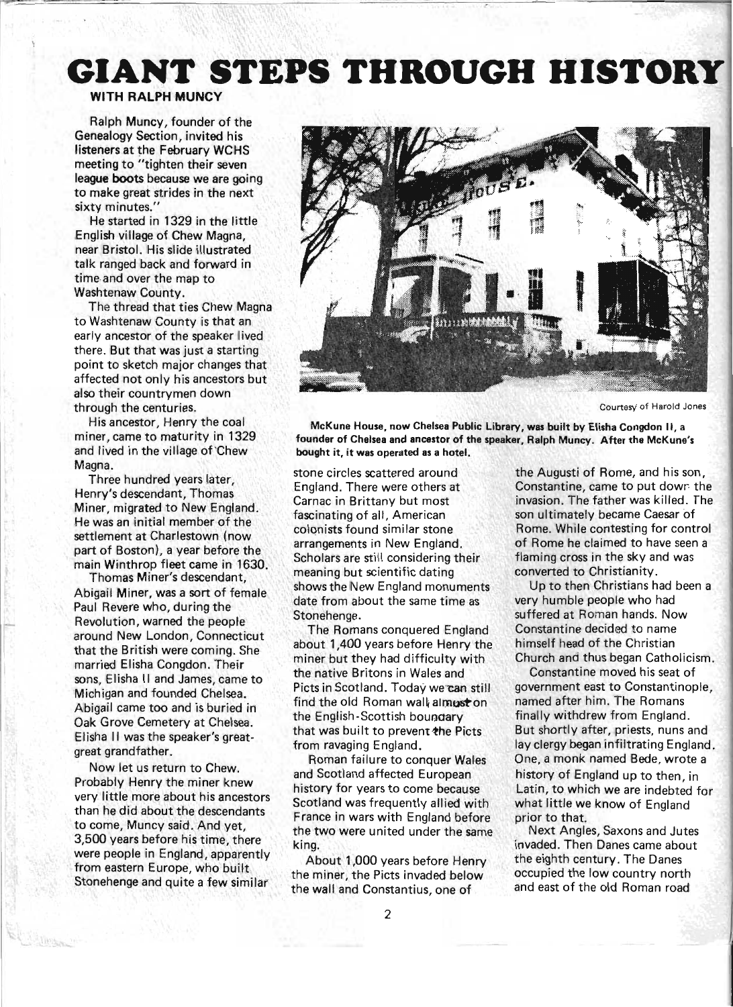# **GIANT STEPS THROUGH HISTORY**

# WITH RALPH **MUNCY**

Ralph Muncy, founder of the Genealogy Section, invited his listeners at the February WCHS meeting to "tighten their seven league boots because we are going to make great strides in the next sixty minutes."

He started in 1329 in the little English village of Chew Magna, near Bristol. His slide illustrated talk ranged back and forward in time,and over the map to Washtenaw County.

The thread that ties Chew Magna to Washtenaw County is that an early ancestor of the speaker lived there. But that was just a starting point to sketch major changes that affected not only his ancestors but also their countrymen down through the centuries.

His ancestor, Henry the coal miner, came to maturity in 1329 and lived in the village of'Chew Magna.

Three hundred years later, Henry's descendant, Thomas Miner, migrated to New England. He was an initial member of the settlement at Charlestown (now part of Boston), a year before the main Winthrop fleet came in 1630.

Thomas Miner's descendant, Abigail Miner, was a sort of female Paul Revere who, during the Revolution, warned the people around New London, Connecticut that the British were coming. She married Elisha Congdon. Their sons, Elisha II and James, came to Michigan and founded Chelsea. Abigail came too and is buried in Oak Grove Cemetery at Chelsea. Elisha II was the speaker's greatgreat grandfather.

Now let us return to Chew. Probably Henry the miner knew very little more about his ancestors than he did about the descendants to come, Muncy said. And yet, 3,500 years before his time, there were people in England, apparently from eastern Europe, who built Stonehenge and quite a few similar



Courtesy of Harold Jones

McKune House, now Chelsea Public Library, was built by Elisha Congdon II, a founder of Chelsea and ancestor of the speaker, Ralph Muncy. After the McKune's bought it, it was operated as a hotel.

stone circles scattered around England. There were others at Carnac in Brittany but most fascinating of all, American colonists found similar stone arrangements in New England. Scholars are still considering their meaning but scientific dating shows the New England monuments date from about the same time as Stonehenge.

The Romans conquered England about 1,400 years before Henry the miner but they had difficulty with the native Britons in Wales and Picts in Scotland. Today we can still find the old Roman wall almust on the English-Scottish boundary that was built to prevent the Picts from ravaging England.

Roman failure to conquer Wales and Scotland affected European history for years to come because Scotland was frequently allied with France in wars with England before the two were united under the same king.

About 1,000 years before Henry the miner, the Picts invaded below the wall and Constantius, one of

the Augusti of Rome, and his son, Constantine, came to put dowr the invasion. The father was killed. The son ultimately became Caesar of Rome. While contesting for control of Rome he claimed to have seen a flaming cross in the sky and was converted to Christianity.

Up to then Christians had been a very humble people who had suffered at Roman hands. Now Constantine decided to name himself head of the Christian Church and thus began Catholicism.

Constantine moved his seat of government east to Constantinople, named after him. The Romans finally withdrew from England. But shortly after, priests, nuns and lay clergy began infiltrating England. One, a monk named Bede, wrote a history of England up to then, in Latin, to which we are indebted for what little we know of England prior to that.

Next Angles, Saxons and Jutes invaded. Then Danes came about the eighth century. The Danes occupied the low country north and east of the old Roman road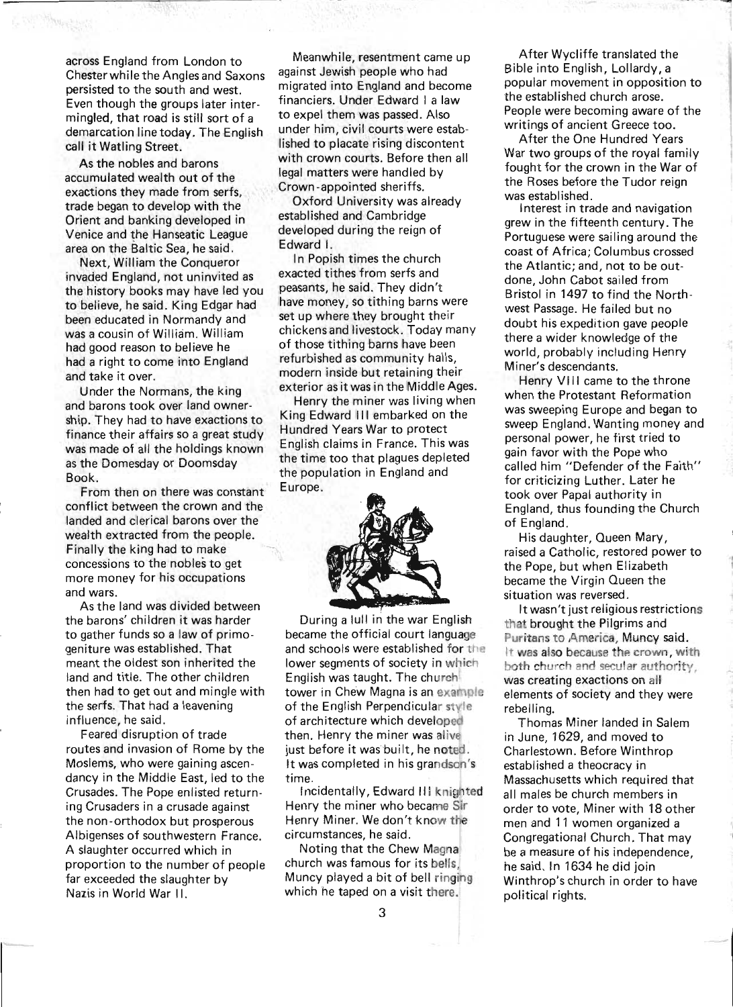across England from London to Chester while the Angles and Saxons persisted to the south and west. Even though the groups later intermingled, that road is still sort of a demarcation line today. The English call it Watling Street.

As the nobles and barons accumulated wealth out of the exactions they made from serfs, trade began to develop with the . Orient and banking developed in Venice and the Hanseatic League area on the Baltic Sea, he said.

Next, William the Conqueror invaded England, not uninvited as the history books may have led you to believe, he said. King Edgar had been educated in Normandy and was a cousin of William. William had good reason to believe he had a right to come into England and take it over.

Under the Normans, the king and barons took over land ownership. They had to have exactions to finance their affairs so a great study was made of all the holdings known as the Domesday or Doomsday Book.

From then on there was constant conflict between the crown and the landed and clerical barons over the wealth extracted from the people. Finally the king had to make concessions to the nobles to get more money for his occupations and wars.

As the land was divided between the barons' children it was harder to gather funds so a law of primogeniture was established. That meant the oldest son inherited the land and title. The other children then had to get out and mingle with the serfs. That had a leavening influence, he said.

Feared disruption of trade routes and invasion of Rome by the Moslems, who were gaining ascendancy in the Middle East, led to the Crusades. The Pope enlisted returning Crusaders in a crusade against the non-orthodox but prosperous Albigenses of southwestern France. A slaughter occurred which in proportion to the number of people far exceeded the slaughter by Nazis in World War II.

Meanwhile, resentment came up against Jewish people who had migrated into England and become financiers. Under Edward I a law to expel them was passed. Also under him, civil courts were established to placate rising discontent with crown courts. Before then all legal matters were handled by Crown-appointed sheriffs.

Oxford University was already established and Cambridge developed during the reign of Edward I.

In Popish times the church exacted tithes from serfs and peasants, he said. They didn't have money, so tithing barns were set up where they brought their chickens and livestock. Today many of those tithing barns have been refurbished as community halls, modern inside but retaining their exterior as it was in the Middle Ages.

Henry the miner was living when King Edward III embarked on the Hundred Years War to protect English claims in France. This was the time too that plagues depleted the population in England and Europe.



During a lull in the war English became the official court language and schools were established for the lower segments of society in which English was taught. The church tower in Chew Magna is an example. of the English Perpendicular style. of architecture which developed then. Henry the miner was alive just before it was built, he noted. It was completed in his grandson's time.

Incidentally, Edward III knighted Henry the miner who became Sir Henry Miner. We don't know the circumstances, he said.

Noting that the Chew Magna church was famous for its bells, Muncy played a bit of bell ringing which he taped on a visit there.

After Wycliffe translated the Bible into English, Lollardy, a popular movement in opposition to the established church arose. People were becoming aware of the writings of ancient Greece too.

After the One Hundred Years War two groups of the royal family fought for the crown in the War of the Roses before the Tudor reign was established.

Interest in trade and navigation grew in the fifteenth century. The Portuguese were sailing around the coast of Africa; Columbus crossed the Atlantic; and, not to be outdone, John Cabot sailed from Bristol in 1497 to find the Northwest Passage. He failed but no doubt his expedition gave people there a wider knowledge of the world, probably including Henry Miner's descendants.

Henry VIII came to the throne when the Protestant Reformation was sweeping Europe and began to sweep England. Wanting money and personal power, he first tried to gain favor with the Pope who called him "Defender of the Faith" for criticizing Luther. Later he took over Papal authority in England, thus founding the Church of England.

His daughter, Queen Mary, raised a Catholic, restored power to the Pope, but when Elizabeth became the Virgin Queen the situation was reversed.

. It wasn't just religious restrictions that brought the Pilgrims and Puritans to America, Muncy said. It was also because the crown, with both church and secular authority, was creating exactions on all elements of society and they were rebelling.

Thomas Miner landed in Salem in June, 1629, and moved to Charlestown. Before Winthrop established a theocracy in Massachusetts which required that all males be church members in order to vote, Miner with 18 other men and 11 women organized a Congregational Church. That may be a measure of his independence, he said. In 1634 he did join Winthrop's church in order to have political rights.